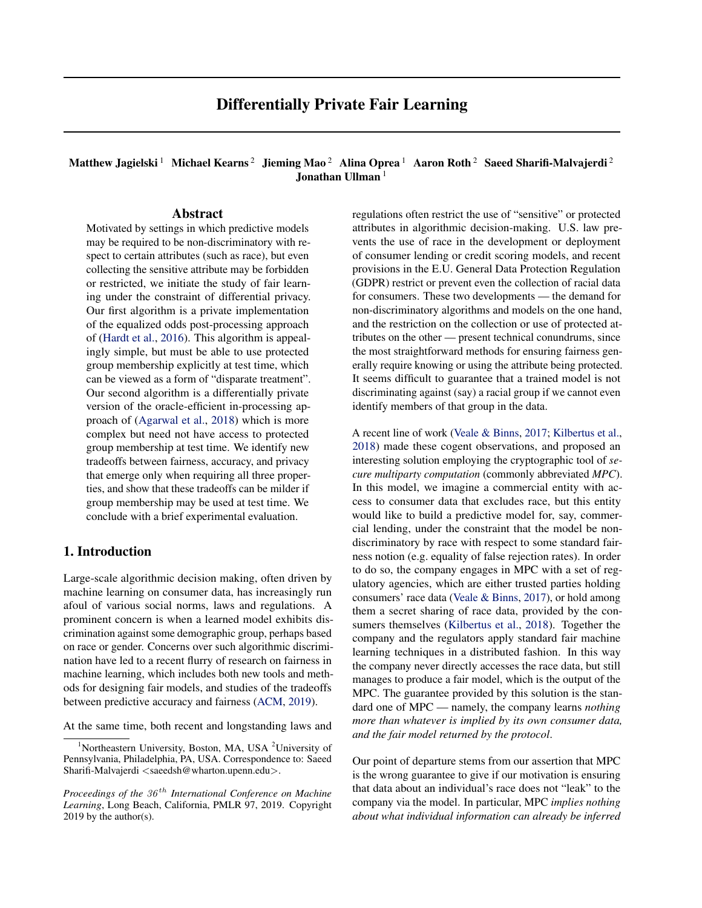# Matthew Jagielski<sup>1</sup> Michael Kearns<sup>2</sup> Jieming Mao<sup>2</sup> Alina Oprea<sup>1</sup> Aaron Roth<sup>2</sup> Saeed Sharifi-Malvajerdi<sup>2</sup> Jonathan Ullman<sup>1</sup>

## Abstract

Motivated by settings in which predictive models may be required to be non-discriminatory with respect to certain attributes (such as race), but even collecting the sensitive attribute may be forbidden or restricted, we initiate the study of fair learning under the constraint of differential privacy. Our first algorithm is a private implementation of the equalized odds post-processing approach of (Hardt et al., 2016). This algorithm is appealingly simple, but must be able to use protected group membership explicitly at test time, which can be viewed as a form of "disparate treatment". Our second algorithm is a differentially private version of the oracle-efficient in-processing approach of (Agarwal et al., 2018) which is more complex but need not have access to protected group membership at test time. We identify new tradeoffs between fairness, accuracy, and privacy that emerge only when requiring all three properties, and show that these tradeoffs can be milder if group membership may be used at test time. We conclude with a brief experimental evaluation.

## 1. Introduction

Large-scale algorithmic decision making, often driven by machine learning on consumer data, has increasingly run afoul of various social norms, laws and regulations. A prominent concern is when a learned model exhibits discrimination against some demographic group, perhaps based on race or gender. Concerns over such algorithmic discrimination have led to a recent flurry of research on fairness in machine learning, which includes both new tools and methods for designing fair models, and studies of the tradeoffs between predictive accuracy and fairness (ACM, 2019).

At the same time, both recent and longstanding laws and

regulations often restrict the use of "sensitive" or protected attributes in algorithmic decision-making. U.S. law prevents the use of race in the development or deployment of consumer lending or credit scoring models, and recent provisions in the E.U. General Data Protection Regulation (GDPR) restrict or prevent even the collection of racial data for consumers. These two developments — the demand for non-discriminatory algorithms and models on the one hand, and the restriction on the collection or use of protected attributes on the other — present technical conundrums, since the most straightforward methods for ensuring fairness generally require knowing or using the attribute being protected. It seems difficult to guarantee that a trained model is not discriminating against (say) a racial group if we cannot even identify members of that group in the data.

A recent line of work (Veale & Binns, 2017; Kilbertus et al., 2018) made these cogent observations, and proposed an interesting solution employing the cryptographic tool of *secure multiparty computation* (commonly abbreviated *MPC*). In this model, we imagine a commercial entity with access to consumer data that excludes race, but this entity would like to build a predictive model for, say, commercial lending, under the constraint that the model be nondiscriminatory by race with respect to some standard fairness notion (e.g. equality of false rejection rates). In order to do so, the company engages in MPC with a set of regulatory agencies, which are either trusted parties holding consumers' race data (Veale & Binns, 2017), or hold among them a secret sharing of race data, provided by the consumers themselves (Kilbertus et al., 2018). Together the company and the regulators apply standard fair machine learning techniques in a distributed fashion. In this way the company never directly accesses the race data, but still manages to produce a fair model, which is the output of the MPC. The guarantee provided by this solution is the standard one of MPC — namely, the company learns *nothing more than whatever is implied by its own consumer data, and the fair model returned by the protocol*.

Our point of departure stems from our assertion that MPC is the wrong guarantee to give if our motivation is ensuring that data about an individual's race does not "leak" to the company via the model. In particular, MPC *implies nothing about what individual information can already be inferred*

<sup>&</sup>lt;sup>1</sup>Northeastern University, Boston, MA, USA <sup>2</sup>University of Pennsylvania, Philadelphia, PA, USA. Correspondence to: Saeed Sharifi-Malvajerdi <saeedsh@wharton.upenn.edu>.

*Proceedings of the*  $36<sup>th</sup>$  *International Conference on Machine Learning*, Long Beach, California, PMLR 97, 2019. Copyright  $2019$  by the author(s).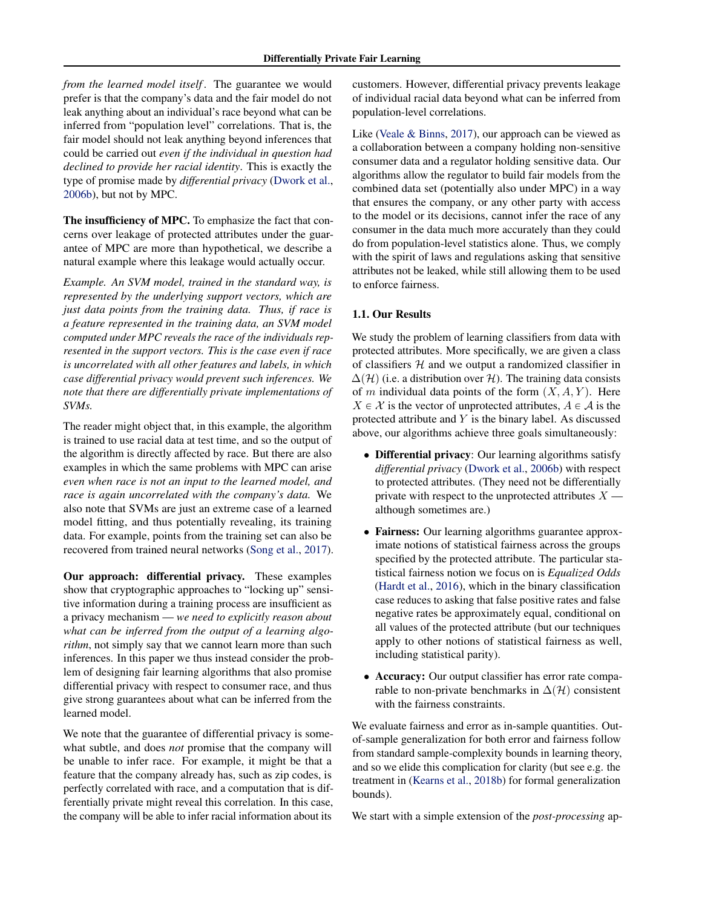*from the learned model itself* . The guarantee we would prefer is that the company's data and the fair model do not leak anything about an individual's race beyond what can be inferred from "population level" correlations. That is, the fair model should not leak anything beyond inferences that could be carried out *even if the individual in question had declined to provide her racial identity*. This is exactly the type of promise made by *differential privacy* (Dwork et al., 2006b), but not by MPC.

The insufficiency of MPC. To emphasize the fact that concerns over leakage of protected attributes under the guarantee of MPC are more than hypothetical, we describe a natural example where this leakage would actually occur.

*Example. An SVM model, trained in the standard way, is represented by the underlying support vectors, which are just data points from the training data. Thus, if race is a feature represented in the training data, an SVM model computed under MPC reveals the race of the individuals represented in the support vectors. This is the case even if race is uncorrelated with all other features and labels, in which case differential privacy would prevent such inferences. We note that there are differentially private implementations of SVMs.*

The reader might object that, in this example, the algorithm is trained to use racial data at test time, and so the output of the algorithm is directly affected by race. But there are also examples in which the same problems with MPC can arise *even when race is not an input to the learned model, and race is again uncorrelated with the company's data.* We also note that SVMs are just an extreme case of a learned model fitting, and thus potentially revealing, its training data. For example, points from the training set can also be recovered from trained neural networks (Song et al., 2017).

Our approach: differential privacy. These examples show that cryptographic approaches to "locking up" sensitive information during a training process are insufficient as a privacy mechanism — *we need to explicitly reason about what can be inferred from the output of a learning algorithm*, not simply say that we cannot learn more than such inferences. In this paper we thus instead consider the problem of designing fair learning algorithms that also promise differential privacy with respect to consumer race, and thus give strong guarantees about what can be inferred from the learned model.

We note that the guarantee of differential privacy is somewhat subtle, and does *not* promise that the company will be unable to infer race. For example, it might be that a feature that the company already has, such as zip codes, is perfectly correlated with race, and a computation that is differentially private might reveal this correlation. In this case, the company will be able to infer racial information about its

customers. However, differential privacy prevents leakage of individual racial data beyond what can be inferred from population-level correlations.

Like (Veale & Binns, 2017), our approach can be viewed as a collaboration between a company holding non-sensitive consumer data and a regulator holding sensitive data. Our algorithms allow the regulator to build fair models from the combined data set (potentially also under MPC) in a way that ensures the company, or any other party with access to the model or its decisions, cannot infer the race of any consumer in the data much more accurately than they could do from population-level statistics alone. Thus, we comply with the spirit of laws and regulations asking that sensitive attributes not be leaked, while still allowing them to be used to enforce fairness.

#### 1.1. Our Results

We study the problem of learning classifiers from data with protected attributes. More specifically, we are given a class of classifiers  $H$  and we output a randomized classifier in  $\Delta(\mathcal{H})$  (i.e. a distribution over H). The training data consists of m individual data points of the form  $(X, A, Y)$ . Here  $X \in \mathcal{X}$  is the vector of unprotected attributes,  $A \in \mathcal{A}$  is the protected attribute and Y is the binary label. As discussed above, our algorithms achieve three goals simultaneously:

- Differential privacy: Our learning algorithms satisfy *differential privacy* (Dwork et al., 2006b) with respect to protected attributes. (They need not be differentially private with respect to the unprotected attributes  $X$  although sometimes are.)
- Fairness: Our learning algorithms guarantee approximate notions of statistical fairness across the groups specified by the protected attribute. The particular statistical fairness notion we focus on is *Equalized Odds* (Hardt et al., 2016), which in the binary classification case reduces to asking that false positive rates and false negative rates be approximately equal, conditional on all values of the protected attribute (but our techniques apply to other notions of statistical fairness as well, including statistical parity).
- Accuracy: Our output classifier has error rate comparable to non-private benchmarks in  $\Delta(\mathcal{H})$  consistent with the fairness constraints.

We evaluate fairness and error as in-sample quantities. Outof-sample generalization for both error and fairness follow from standard sample-complexity bounds in learning theory, and so we elide this complication for clarity (but see e.g. the treatment in (Kearns et al., 2018b) for formal generalization bounds).

We start with a simple extension of the *post-processing* ap-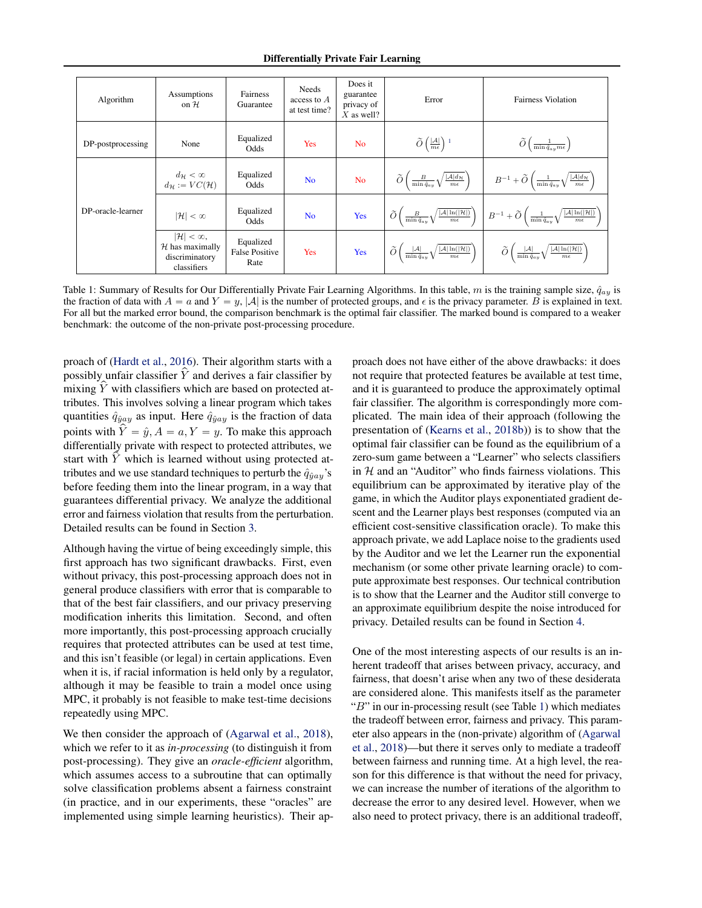Differentially Private Fair Learning

| Algorithm         | Assumptions<br>on $H$                                                            | Fairness<br>Guarantee                      | Needs<br>access to $A$<br>at test time? | Does it<br>guarantee<br>privacy of<br>$X$ as well? | Error                                                                                                                           | <b>Fairness Violation</b>                                                                                                                          |
|-------------------|----------------------------------------------------------------------------------|--------------------------------------------|-----------------------------------------|----------------------------------------------------|---------------------------------------------------------------------------------------------------------------------------------|----------------------------------------------------------------------------------------------------------------------------------------------------|
| DP-postprocessing | None                                                                             | Equalized<br>Odds                          | Yes                                     | N <sub>o</sub>                                     | $\widetilde{O}\left(\frac{ \mathcal{A} }{m\epsilon}\right)$ <sup>1</sup>                                                        | $\widetilde{O}\left(\frac{1}{\min \hat{q}_{ay}m\epsilon}\right)$                                                                                   |
|                   | $d_{\mathcal{H}} < \infty$<br>$d_{\mathcal{H}} := VC(\mathcal{H})$               | Equalized<br>Odds                          | N <sub>o</sub>                          | N <sub>o</sub>                                     | $\widetilde{O}\left(\frac{B}{\min{\hat{q}_{ay}}}\sqrt{\frac{ \mathcal{A} d_{\mathcal{H}}}{m\epsilon}}\right)$                   | $B^{-1} + \widetilde{O}\left(\frac{1}{\min \hat{q}_{ay}}\sqrt{\frac{ \mathcal{A} d_{\mathcal{H}}}{m\epsilon}}\right)$                              |
| DP-oracle-learner | $ \mathcal{H}  < \infty$                                                         | Equalized<br>Odds                          | N <sub>o</sub>                          | Yes                                                | $\widetilde{O}\left(\frac{B}{\min \hat{q}_{ay}}\sqrt{\frac{ \mathcal{A} \ln( \mathcal{H} )}{m\epsilon}}\right)$                 | $B^{-1} + \widetilde{O}\left(\frac{1}{\min \hat{q}_{ay}} \sqrt{\frac{ \mathcal{A}  \ln ( \mathcal{H} )}{m \epsilon}}\right)$                       |
|                   | $ \mathcal{H}  < \infty$ ,<br>$H$ has maximally<br>discriminatory<br>classifiers | Equalized<br><b>False Positive</b><br>Rate | Yes                                     | Yes                                                | $\widetilde{O}\left(\frac{ \mathcal{A} }{\min \hat{q}_{ay}} \sqrt{\frac{ \mathcal{A}  \ln ( \mathcal{H} )}{m \epsilon}}\right)$ | $\widetilde{O}\left(\frac{ \mathcal{A} }{\min \hat{q}_{ay}}\sqrt{\right)$<br>$\left/ \frac{ \mathcal{A}  \ln ( \mathcal{H} )}{m \epsilon} \right)$ |

Table 1: Summary of Results for Our Differentially Private Fair Learning Algorithms. In this table, m is the training sample size,  $\hat{q}_{av}$  is the fraction of data with  $A = a$  and  $Y = y$ , |A| is the number of protected groups, and  $\epsilon$  is the privacy parameter. B is explained in text. For all but the marked error bound, the comparison benchmark is the optimal fair classifier. The marked bound is compared to a weaker benchmark: the outcome of the non-private post-processing procedure.

proach of (Hardt et al., 2016). Their algorithm starts with a possibly unfair classifier  $Y$  and derives a fair classifier by mixing  $Y$  with classifiers which are based on protected attributes. This involves solving a linear program which takes quantities  $\hat{q}_{\hat{y}ay}$  as input. Here  $\hat{q}_{\hat{y}ay}$  is the fraction of data points with  $Y = \hat{y}, A = a, Y = y$ . To make this approach differentially private with respect to protected attributes, we start with  $Y$  which is learned without using protected attributes and we use standard techniques to perturb the  $\hat{q}_{\hat{y} a y}$ 's before feeding them into the linear program, in a way that guarantees differential privacy. We analyze the additional error and fairness violation that results from the perturbation. Detailed results can be found in Section 3.

Although having the virtue of being exceedingly simple, this first approach has two significant drawbacks. First, even without privacy, this post-processing approach does not in general produce classifiers with error that is comparable to that of the best fair classifiers, and our privacy preserving modification inherits this limitation. Second, and often more importantly, this post-processing approach crucially requires that protected attributes can be used at test time, and this isn't feasible (or legal) in certain applications. Even when it is, if racial information is held only by a regulator, although it may be feasible to train a model once using MPC, it probably is not feasible to make test-time decisions repeatedly using MPC.

We then consider the approach of (Agarwal et al., 2018), which we refer to it as *in-processing* (to distinguish it from post-processing). They give an *oracle-efficient* algorithm, which assumes access to a subroutine that can optimally solve classification problems absent a fairness constraint (in practice, and in our experiments, these "oracles" are implemented using simple learning heuristics). Their approach does not have either of the above drawbacks: it does not require that protected features be available at test time, and it is guaranteed to produce the approximately optimal fair classifier. The algorithm is correspondingly more complicated. The main idea of their approach (following the presentation of (Kearns et al., 2018b)) is to show that the optimal fair classifier can be found as the equilibrium of a zero-sum game between a "Learner" who selects classifiers in  $H$  and an "Auditor" who finds fairness violations. This equilibrium can be approximated by iterative play of the game, in which the Auditor plays exponentiated gradient descent and the Learner plays best responses (computed via an efficient cost-sensitive classification oracle). To make this approach private, we add Laplace noise to the gradients used by the Auditor and we let the Learner run the exponential mechanism (or some other private learning oracle) to compute approximate best responses. Our technical contribution is to show that the Learner and the Auditor still converge to an approximate equilibrium despite the noise introduced for privacy. Detailed results can be found in Section 4.

One of the most interesting aspects of our results is an inherent tradeoff that arises between privacy, accuracy, and fairness, that doesn't arise when any two of these desiderata are considered alone. This manifests itself as the parameter "B" in our in-processing result (see Table 1) which mediates the tradeoff between error, fairness and privacy. This parameter also appears in the (non-private) algorithm of (Agarwal et al., 2018)—but there it serves only to mediate a tradeoff between fairness and running time. At a high level, the reason for this difference is that without the need for privacy, we can increase the number of iterations of the algorithm to decrease the error to any desired level. However, when we also need to protect privacy, there is an additional tradeoff,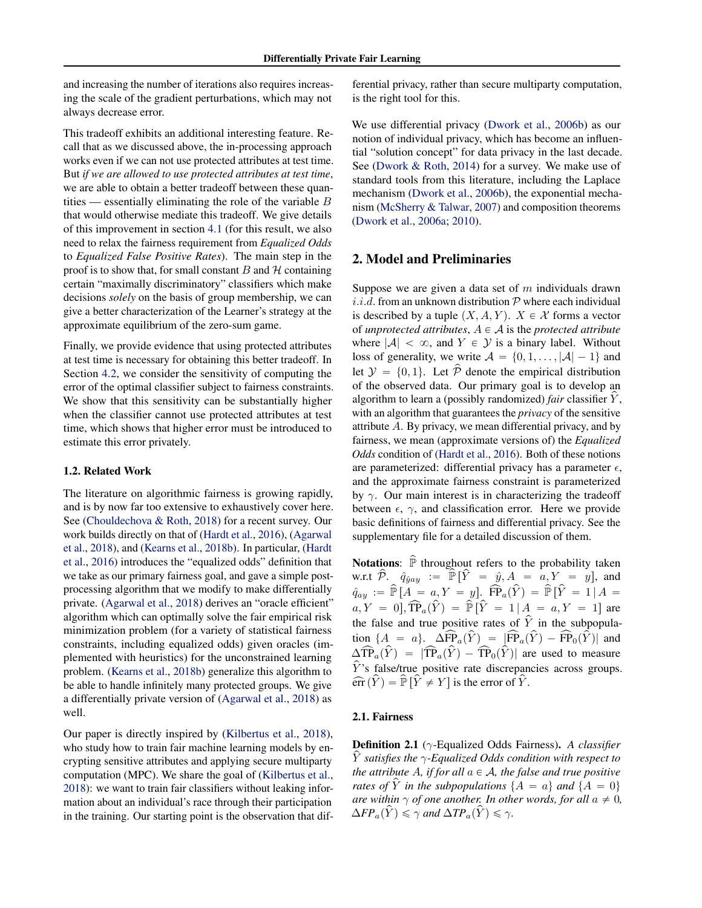and increasing the number of iterations also requires increasing the scale of the gradient perturbations, which may not always decrease error.

This tradeoff exhibits an additional interesting feature. Recall that as we discussed above, the in-processing approach works even if we can not use protected attributes at test time. But *if we are allowed to use protected attributes at test time*, we are able to obtain a better tradeoff between these quantities — essentially eliminating the role of the variable  $B$ that would otherwise mediate this tradeoff. We give details of this improvement in section 4.1 (for this result, we also need to relax the fairness requirement from *Equalized Odds* to *Equalized False Positive Rates*). The main step in the proof is to show that, for small constant  $B$  and  $H$  containing certain "maximally discriminatory" classifiers which make decisions *solely* on the basis of group membership, we can give a better characterization of the Learner's strategy at the approximate equilibrium of the zero-sum game.

Finally, we provide evidence that using protected attributes at test time is necessary for obtaining this better tradeoff. In Section 4.2, we consider the sensitivity of computing the error of the optimal classifier subject to fairness constraints. We show that this sensitivity can be substantially higher when the classifier cannot use protected attributes at test time, which shows that higher error must be introduced to estimate this error privately.

#### 1.2. Related Work

The literature on algorithmic fairness is growing rapidly, and is by now far too extensive to exhaustively cover here. See (Chouldechova & Roth, 2018) for a recent survey. Our work builds directly on that of (Hardt et al., 2016), (Agarwal et al., 2018), and (Kearns et al., 2018b). In particular, (Hardt et al., 2016) introduces the "equalized odds" definition that we take as our primary fairness goal, and gave a simple postprocessing algorithm that we modify to make differentially private. (Agarwal et al., 2018) derives an "oracle efficient" algorithm which can optimally solve the fair empirical risk minimization problem (for a variety of statistical fairness constraints, including equalized odds) given oracles (implemented with heuristics) for the unconstrained learning problem. (Kearns et al., 2018b) generalize this algorithm to be able to handle infinitely many protected groups. We give a differentially private version of (Agarwal et al., 2018) as well.

Our paper is directly inspired by (Kilbertus et al., 2018), who study how to train fair machine learning models by encrypting sensitive attributes and applying secure multiparty computation (MPC). We share the goal of (Kilbertus et al., 2018): we want to train fair classifiers without leaking information about an individual's race through their participation in the training. Our starting point is the observation that dif-

ferential privacy, rather than secure multiparty computation, is the right tool for this.

We use differential privacy (Dwork et al., 2006b) as our notion of individual privacy, which has become an influential "solution concept" for data privacy in the last decade. See (Dwork & Roth, 2014) for a survey. We make use of standard tools from this literature, including the Laplace mechanism (Dwork et al., 2006b), the exponential mechanism (McSherry & Talwar, 2007) and composition theorems (Dwork et al., 2006a; 2010).

## 2. Model and Preliminaries

Suppose we are given a data set of  $m$  individuals drawn *i.i.d.* from an unknown distribution  $P$  where each individual is described by a tuple  $(X, A, Y)$ .  $X \in \mathcal{X}$  forms a vector of *unprotected attributes*,  $A \in \mathcal{A}$  is the *protected attribute* where  $|\mathcal{A}| < \infty$ , and  $Y \in \mathcal{Y}$  is a binary label. Without loss of generality, we write  $A = \{0, 1, \ldots, |\mathcal{A}| - 1\}$  and let  $\mathcal{Y} = \{0, 1\}$ . Let  $\hat{\mathcal{P}}$  denote the empirical distribution of the observed data. Our primary goal is to develop an algorithm to learn a (possibly randomized) *fair* classifier Y, with an algorithm that guarantees the *privacy* of the sensitive attribute A. By privacy, we mean differential privacy, and by fairness, we mean (approximate versions of) the *Equalized Odds* condition of (Hardt et al., 2016). Both of these notions are parameterized: differential privacy has a parameter  $\epsilon$ , and the approximate fairness constraint is parameterized by  $\gamma$ . Our main interest is in characterizing the tradeoff between  $\epsilon$ ,  $\gamma$ , and classification error. Here we provide basic definitions of fairness and differential privacy. See the supplementary file for a detailed discussion of them.

**Notations:**  $\hat{P}$  throughout refers to the probability taken w.r.t  $\hat{\mathcal{P}}$ .  $\hat{q}_{\hat{y}ay} := \hat{\mathbb{P}} [\hat{Y} = \hat{y}, A = a, Y = y]$ , and  $\hat{q}_{ay} := \hat{\mathbb{P}}[A = a, Y = y]. \; \widehat{FP}_a(\hat{Y}) = \hat{\mathbb{P}}[\hat{Y} = 1 | A = y]$  $a, Y = 0, \widehat{TP}_a(\widehat{Y}) = \widehat{P}[\widehat{Y} = 1 | A = a, Y = 1]$  are the false and true positive rates of  $\hat{Y}$  in the subpopulation  ${A = a}$ .  $\Delta \widehat{FP}_a(\widehat{Y}) = |\widehat{FP}_a(\widehat{Y}) - \widehat{FP}_0(\widehat{Y})|$  and  $\Delta \widehat{\text{TP}}_a(\widehat{Y}) = |\widehat{\text{TP}}_a(\widehat{Y}) - \widehat{\text{TP}}_0(\widehat{Y})|$  are used to measure  $\hat{Y}$ 's false/true positive rate discrepancies across groups.  $\widehat{\text{err}}(\widehat{Y}) = \widehat{\mathbb{P}} [\widehat{Y} \neq Y]$  is the error of  $\widehat{Y}$ .

#### 2.1. Fairness

Definition 2.1 (γ-Equalized Odds Fairness). *A classifier* Yp *satisfies the* γ*-Equalized Odds condition with respect to the attribute* A, *if for all*  $a \in A$ *, the false and true positive rates of*  $\hat{Y}$  *in the subpopulations*  ${A = a}$  *and*  ${A = 0}$ *are within*  $\gamma$  *of one another. In other words, for all*  $a \neq 0$ *,*  $\Delta FP_a(\hat{Y}) \leq \gamma$  and  $\Delta TP_a(\hat{Y}) \leq \gamma$ *.*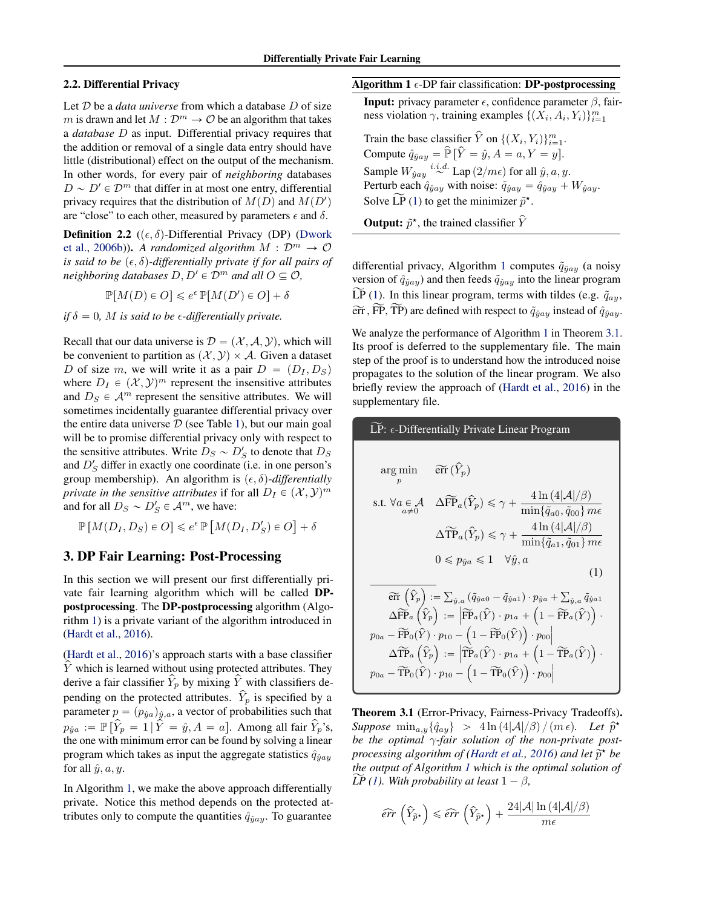### 2.2. Differential Privacy

Let D be a *data universe* from which a database D of size m is drawn and let  $M : \mathcal{D}^m \to \mathcal{O}$  be an algorithm that takes a *database* D as input. Differential privacy requires that the addition or removal of a single data entry should have little (distributional) effect on the output of the mechanism. In other words, for every pair of *neighboring* databases  $D \sim D' \in \mathcal{D}^m$  that differ in at most one entry, differential privacy requires that the distribution of  $M(D)$  and  $M(D')$ are "close" to each other, measured by parameters  $\epsilon$  and  $\delta$ .

**Definition 2.2** ( $(\epsilon, \delta)$ -Differential Privacy (DP) (Dwork et al., 2006b)). A randomized algorithm  $M : \mathcal{D}^m \to \mathcal{O}$ *is said to be*  $(\epsilon, \delta)$ -differentially private if for all pairs of *neighboring databases*  $D, D' \in \mathcal{D}^m$  *and all*  $O \subseteq \mathcal{O}$ *,* 

 $\mathbb{P}[M(D) \in O] \leq e^{\epsilon} \mathbb{P}[M(D') \in O] + \delta$ 

*if*  $\delta = 0$ *, M is said to be*  $\epsilon$ *-differentially private.* 

Recall that our data universe is  $\mathcal{D} = (\mathcal{X}, \mathcal{A}, \mathcal{Y})$ , which will be convenient to partition as  $(\mathcal{X}, \mathcal{Y}) \times \mathcal{A}$ . Given a dataset D of size m, we will write it as a pair  $D = (D_I, D_S)$ where  $D_I \in (\mathcal{X}, \mathcal{Y})^m$  represent the insensitive attributes and  $D_S \in \mathcal{A}^m$  represent the sensitive attributes. We will sometimes incidentally guarantee differential privacy over the entire data universe  $D$  (see Table 1), but our main goal will be to promise differential privacy only with respect to the sensitive attributes. Write  $D_S \sim D'_S$  to denote that  $D_S$ and  $D'_S$  differ in exactly one coordinate (i.e. in one person's group membership). An algorithm is  $(\epsilon, \delta)$ -*differentially private in the sensitive attributes* if for all  $D_I \in (\mathcal{X}, \mathcal{Y})^m$ and for all  $D_S \sim D'_S \in \mathcal{A}^m$ , we have:

 $\mathbb{P}\left[M(D_I, D_S) \in O\right] \leqslant e^{\epsilon} \mathbb{P}\left[M(D_I, D_S') \in O\right] + \delta$ 

#### 3. DP Fair Learning: Post-Processing

In this section we will present our first differentially private fair learning algorithm which will be called DPpostprocessing. The DP-postprocessing algorithm (Algorithm 1) is a private variant of the algorithm introduced in (Hardt et al., 2016).

(Hardt et al., 2016)'s approach starts with a base classifier  $Y$  which is learned without using protected attributes. They derive a fair classifier  $\hat{Y}_p$  by mixing  $\hat{Y}$  with classifiers depending on the protected attributes.  $\hat{Y}_p$  is specified by a parameter  $p = (p_{\hat{y}a})_{\hat{y},a}$ , a vector of probabilities such that  $p_{\hat{y}a} := \mathbb{P} \left[ \hat{Y}_p = 1 \, | \, \hat{Y} = \hat{y}, A = a \right]$ . Among all fair  $\hat{Y}_p$ 's, the one with minimum error can be found by solving a linear program which takes as input the aggregate statistics  $\hat{q}_{\hat{y}ay}$ for all  $\hat{y}$ ,  $a, y$ .

In Algorithm 1, we make the above approach differentially private. Notice this method depends on the protected attributes only to compute the quantities  $\hat{q}_{\hat{y}ay}$ . To guarantee

#### Algorithm 1  $\epsilon$ -DP fair classification: DP-postprocessing

**Input:** privacy parameter  $\epsilon$ , confidence parameter  $\beta$ , fairness violation  $\gamma$ , training examples  $\{(X_i, A_i, Y_i)\}_{i=1}^m$ 

Train the base classifier  $\hat{Y}$  on  $\{(X_i, Y_i)\}_{i=1}^m$ . Compute  $\hat{q}_{\hat{y}ay} = \hat{\mathbb{P}} [\hat{Y} = \hat{y}, A = a, Y = y].$ Sample  $W_{\hat{y}ay} \stackrel{i.i.d.}{\sim} \text{Lap}(2/m\epsilon)$  for all  $\hat{y}, a, y$ . Perturb each  $\hat{q}_{\hat{y}ay}$  with noise:  $\tilde{q}_{\hat{y}ay} = \hat{q}_{\hat{y}ay} + W_{\hat{y}ay}$ . Solve  $\widetilde{LP}(1)$  to get the minimizer  $\widetilde{p}^*$ .

**Output:**  $\tilde{p}^*$ , the trained classifier  $\hat{Y}$ 

differential privacy, Algorithm 1 computes  $\tilde{q}_{\hat{y}ay}$  (a noisy version of  $\hat{q}_{\hat{y} a y}$  and then feeds  $\tilde{q}_{\hat{y} a y}$  into the linear program  $\widetilde{LP}(1)$ . In this linear program, terms with tildes (e.g.  $\tilde{q}_{ay}$ ,  $\widetilde{\text{err}}$ ,  $\widetilde{\text{FP}}, \widetilde{\text{TP}}$ ) are defined with respect to  $\widetilde{q}_{\hat{y}ay}$  instead of  $\hat{q}_{\hat{y}ay}$ .

We analyze the performance of Algorithm 1 in Theorem 3.1. Its proof is deferred to the supplementary file. The main step of the proof is to understand how the introduced noise propagates to the solution of the linear program. We also briefly review the approach of (Hardt et al., 2016) in the supplementary file.



Theorem 3.1 (Error-Privacy, Fairness-Privacy Tradeoffs).  $Suppose \min_{a,y} {\hat{q}_{ay}} > 4 \ln (4|\mathcal{A}|/\beta)/(m \epsilon).$  Let  $\hat{p}^*$ *be the optimal* γ*-fair solution of the non-private postprocessing algorithm of (Hardt et al., 2016) and let*  $\tilde{p}^*$  be<br>the entry of Algorithm Lubish is the entimed selection of *the output of Algorithm 1 which is the optimal solution of*  $\widetilde{LP}(1)$ *. With probability at least*  $1 - \beta$ *,* 

$$
\widehat{err}\left(\widehat{Y}_{\widetilde{p}^{\star}}\right) \leqslant \widehat{err}\left(\widehat{Y}_{\widehat{p}^{\star}}\right) + \frac{24|\mathcal{A}| \ln \left(4|\mathcal{A}|/\beta\right)}{m\epsilon}
$$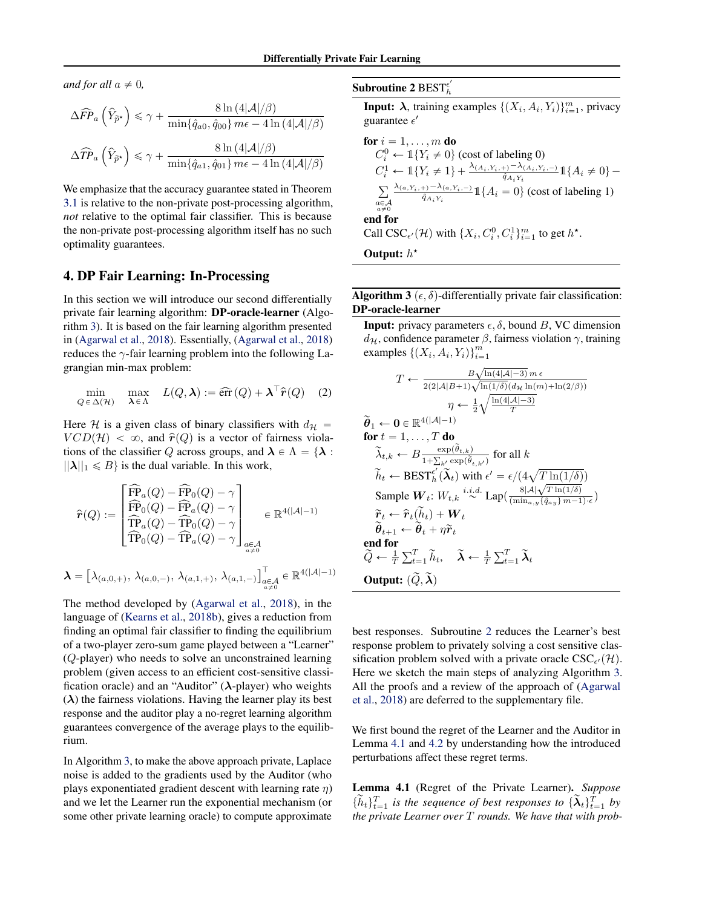*and for all*  $a \neq 0$ *,* 

$$
\Delta \widehat{FP}_a \left( \widehat{Y}_{\widetilde{p}^*} \right) \le \gamma + \frac{8 \ln \left( 4|\mathcal{A}|/\beta \right)}{\min\{\hat{q}_{a0}, \hat{q}_{00}\} \, m\epsilon - 4 \ln \left( 4|\mathcal{A}|/\beta \right)}
$$

$$
\Delta \widehat{TP}_a \left( \widehat{Y}_{\widetilde{p}^*} \right) \le \gamma + \frac{8 \ln \left( 4|\mathcal{A}|/\beta \right)}{\min\{\hat{q}_{a1}, \hat{q}_{01}\} \, m\epsilon - 4 \ln \left( 4|\mathcal{A}|/\beta \right)}
$$

We emphasize that the accuracy guarantee stated in Theorem 3.1 is relative to the non-private post-processing algorithm, *not* relative to the optimal fair classifier. This is because the non-private post-processing algorithm itself has no such optimality guarantees.

## 4. DP Fair Learning: In-Processing

In this section we will introduce our second differentially private fair learning algorithm: DP-oracle-learner (Algorithm 3). It is based on the fair learning algorithm presented in (Agarwal et al., 2018). Essentially, (Agarwal et al., 2018) reduces the  $\gamma$ -fair learning problem into the following Lagrangian min-max problem:

$$
\min_{Q \in \Delta(\mathcal{H})} \max_{\lambda \in \Lambda} L(Q, \lambda) := \widehat{\text{err}}(Q) + \lambda^{\top} \widehat{r}(Q) \quad (2)
$$

Here H is a given class of binary classifiers with  $d_{\mathcal{H}} =$  $VCD(\mathcal{H}) < \infty$ , and  $\hat{r}(Q)$  is a vector of fairness violations of the classifier Q across groups, and  $\lambda \in \Lambda = \{ \lambda :$  $||\lambda||_1 \le B$  is the dual variable. In this work,

$$
\hat{\mathbf{r}}(Q) := \begin{bmatrix}\n\widehat{\mathbf{FP}}_a(Q) - \widehat{\mathbf{FP}}_0(Q) - \gamma \\
\widehat{\mathbf{FP}}_0(Q) - \widehat{\mathbf{FP}}_a(Q) - \gamma \\
\widehat{\mathbf{TP}}_a(Q) - \widehat{\mathbf{TP}}_a(Q) - \gamma \\
\widehat{\mathbf{TP}}_a(Q) - \widehat{\mathbf{TP}}_a(Q) - \gamma\n\end{bmatrix}_{\substack{a \in \mathcal{A} \\ a \neq 0}} \in \mathbb{R}^{4(|\mathcal{A}| - 1)}
$$
\n
$$
\lambda = \begin{bmatrix} \lambda_{(a,0,+)}, \lambda_{(a,0,-)}, \lambda_{(a,1,+)}, \lambda_{(a,1,-)} \end{bmatrix}_{\substack{a \in \mathcal{A} \\ a \neq 0}}^{\top} \in \mathbb{R}^{4(|\mathcal{A}| - 1)}
$$

The method developed by (Agarwal et al., 2018), in the language of (Kearns et al., 2018b), gives a reduction from finding an optimal fair classifier to finding the equilibrium of a two-player zero-sum game played between a "Learner" (Q-player) who needs to solve an unconstrained learning problem (given access to an efficient cost-sensitive classification oracle) and an "Auditor" ( $\lambda$ -player) who weights  $(\lambda)$  the fairness violations. Having the learner play its best response and the auditor play a no-regret learning algorithm guarantees convergence of the average plays to the equilibrium.

In Algorithm 3, to make the above approach private, Laplace noise is added to the gradients used by the Auditor (who plays exponentiated gradient descent with learning rate  $\eta$ ) and we let the Learner run the exponential mechanism (or some other private learning oracle) to compute approximate

#### Subroutine 2  $\text{BEST}^{\epsilon'}_h$ h

**Input:**  $\lambda$ , training examples  $\{(X_i, A_i, Y_i)\}_{i=1}^m$ , privacy guarantee  $\epsilon'$ 

**for** 
$$
i = 1, ..., m
$$
 **do**  
\n $C_i^0 \leftarrow \mathbb{1}\{Y_i \neq 0\}$  (cost of labeling 0)  
\n $C_i^1 \leftarrow \mathbb{1}\{Y_i \neq 1\} + \frac{\lambda_{(A_i, Y_i, +)} - \lambda_{(A_i, Y_i, -)}}{\hat{q}_{A_i, Y_i}} \mathbb{1}\{A_i \neq 0\} -$   
\n
$$
\sum_{\substack{a \in \mathcal{A} \\ a \neq 0}} \frac{\lambda_{(a, Y_i, +)} - \lambda_{(a, Y_i, -)}}{\hat{q}_{A_i, Y_i}} \mathbb{1}\{A_i = 0\} \text{ (cost of labeling 1)}
$$
\n**end for**  
\n**Call CSC**<sub>e'</sub>( $\mathcal{H}$ ) with  $\{X_i, C_i^0, C_i^1\}_{i=1}^m$  to get  $h^*$ .  
\n**Output:**  $h^*$ 

Algorithm 3 ( $\epsilon$ ,  $\delta$ )-differentially private fair classification: DP-oracle-learner

**Input:** privacy parameters  $\epsilon$ ,  $\delta$ , bound B, VC dimension  $d_{\mathcal{H}}$ , confidence parameter  $\beta$ , fairness violation  $\gamma$ , training examples  $\left\{ (X_i, A_i, Y_i) \right\}_{i=1}^m$ 

$$
T \leftarrow \frac{B\sqrt{\ln(4|\mathcal{A}|-3)} m \epsilon}{2(2|\mathcal{A}|B+1)\sqrt{\ln(1/\delta)}(d_{\mathcal{H}}\ln(m)+\ln(2/\beta))}
$$
\n
$$
\tilde{\theta}_1 \leftarrow 0 \in \mathbb{R}^{4(|\mathcal{A}|-1)}
$$
\nfor  $t = 1, ..., T$  do\n
$$
\tilde{\lambda}_{t,k} \leftarrow B \frac{\exp(\tilde{\theta}_{t,k})}{1 + \sum_{k'} \exp(\tilde{\theta}_{t,k'})} \text{ for all } k
$$
\n
$$
\tilde{h}_t \leftarrow \text{BEST}^{\epsilon'}_h(\tilde{\lambda}_t) \text{ with } \epsilon' = \epsilon/(4\sqrt{T \ln(1/\delta)})
$$
\nSample  $W_t: W_{t,k}$  <sup>i.i.d.</sup> Lap $\left(\frac{8|\mathcal{A}|\sqrt{T \ln(1/\delta)}}{\min_{a,y}\{\hat{q}_{ay}\}m-1\}\right)}$ \n
$$
\tilde{r}_t \leftarrow \hat{r}_t(\tilde{h}_t) + W_t
$$
\nend for\n
$$
\tilde{Q} \leftarrow \frac{1}{T} \sum_{t=1}^T \tilde{h}_t, \quad \tilde{\lambda} \leftarrow \frac{1}{T} \sum_{t=1}^T \tilde{\lambda}_t
$$
\nOutput:  $(\tilde{Q}, \tilde{\lambda})$ 

best responses. Subroutine 2 reduces the Learner's best response problem to privately solving a cost sensitive classification problem solved with a private oracle  $CSC_{\epsilon'}(\mathcal{H})$ . Here we sketch the main steps of analyzing Algorithm 3. All the proofs and a review of the approach of (Agarwal et al., 2018) are deferred to the supplementary file.

We first bound the regret of the Learner and the Auditor in Lemma 4.1 and 4.2 by understanding how the introduced perturbations affect these regret terms.

Lemma 4.1 (Regret of the Private Learner). *Suppose*  $\{\widetilde{h}_t\}_{t=1}^T$  is the sequence of best responses to  $\{\widetilde{\lambda}_t\}_{t=1}^T$  by *the private Learner over* T *rounds. We have that with prob-*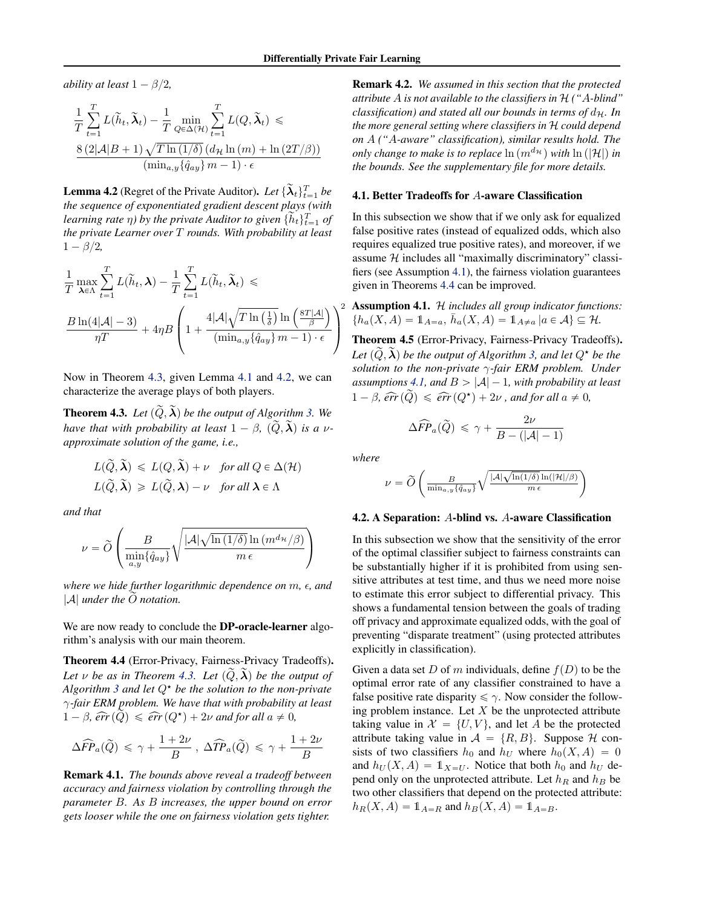*ability at least*  $1 - \beta/2$ *,* 

$$
\frac{1}{T} \sum_{t=1}^{T} L(\widetilde{h}_t, \widetilde{\lambda}_t) - \frac{1}{T} \min_{Q \in \Delta(\mathcal{H})} \sum_{t=1}^{T} L(Q, \widetilde{\lambda}_t) \le
$$
  

$$
\frac{8 (2|\mathcal{A}|B + 1) \sqrt{T \ln(1/\delta)} (d_{\mathcal{H}} \ln(m) + \ln(2T/\beta))}{(\min_{a,y} {\hat{q}}_{ay}) m - 1) \cdot \epsilon}
$$

**Lemma 4.2** (Regret of the Private Auditor). *Let*  $\{\widetilde{\lambda}_t\}_{t=1}^T$  *be the sequence of exponentiated gradient descent plays (with learning rate*  $\eta$ ) by the private Auditor to given  $\{\tilde{h}_t\}_{t=1}^T$  of *the private Learner over* T *rounds. With probability at least*  $1 - \beta/2$ ,

$$
\frac{1}{T} \max_{\lambda \in \Lambda} \sum_{t=1}^{T} L(\widetilde{h}_t, \lambda) - \frac{1}{T} \sum_{t=1}^{T} L(\widetilde{h}_t, \widetilde{\lambda}_t) \le
$$
\n
$$
\frac{B \ln(4|\mathcal{A}| - 3)}{\eta T} + 4\eta B \left( 1 + \frac{4|\mathcal{A}|\sqrt{T \ln\left(\frac{1}{\delta}\right) \ln\left(\frac{8T|\mathcal{A}|}{\beta}\right)}{\left(\min_{a,y} \{\hat{q}_{ay}\}\,m - 1\right) \cdot \epsilon} \right)^2
$$

Now in Theorem 4.3, given Lemma 4.1 and 4.2, we can characterize the average plays of both players.

**Theorem 4.3.** Let  $(\widetilde{Q}, \widetilde{\lambda})$  be the output of Algorithm 3. We *have that with probability at least*  $1 - \beta$ ,  $(\tilde{Q}, \tilde{\lambda})$  *is a vapproximate solution of the game, i.e.,*

$$
L(\widetilde{Q}, \widetilde{\lambda}) \le L(Q, \widetilde{\lambda}) + \nu \quad \text{for all } Q \in \Delta(\mathcal{H})
$$
  

$$
L(\widetilde{Q}, \widetilde{\lambda}) \ge L(\widetilde{Q}, \lambda) - \nu \quad \text{for all } \lambda \in \Lambda
$$

*and that*

$$
\nu = \widetilde{O}\left(\frac{B}{\min\limits_{a,y}\{\hat{q}_{ay}\}}\sqrt{\frac{|\mathcal{A}|\sqrt{\ln\left(1/\delta\right)}\ln\left(m^{d_\mathcal{H}}/\beta\right)}{m\,\epsilon}}\right)
$$

*where we hide further logarithmic dependence on*  $m$ ,  $\epsilon$ , and  $|\mathcal{A}|$  *under the*  $\tilde{O}$  *notation.* 

We are now ready to conclude the **DP-oracle-learner** algorithm's analysis with our main theorem.

Theorem 4.4 (Error-Privacy, Fairness-Privacy Tradeoffs). *Let*  $\nu$  *be as in Theorem 4.3. Let*  $(\tilde{Q}, \tilde{\lambda})$  *be the output of Algorithm 3 and let*  $Q^*$  *be the solution to the non-private* γ*-fair ERM problem. We have that with probability at least*  $1 - \beta$ ,  $\widehat{err}(\widetilde{Q}) \leq \widehat{err}(Q^{\star}) + 2\nu$  *and for all*  $a \neq 0$ ,

$$
\Delta \widehat{FP}_a(\widetilde{Q}) \le \gamma + \frac{1+2\nu}{B}, \ \Delta \widehat{TP}_a(\widetilde{Q}) \le \gamma + \frac{1+2\nu}{B}
$$

Remark 4.1. *The bounds above reveal a tradeoff between accuracy and fairness violation by controlling through the parameter* B*. As* B *increases, the upper bound on error gets looser while the one on fairness violation gets tighter.*

Remark 4.2. *We assumed in this section that the protected attribute* A *is not available to the classifiers in* H *("*A*-blind" classification) and stated all our bounds in terms of*  $d_{\mathcal{H}}$ *. In the more general setting where classifiers in* H *could depend on* A *("*A*-aware" classification), similar results hold. The only change to make is to replace*  $\ln(m^{d_{\mathcal{H}}} )$  *with*  $\ln(|\mathcal{H}|)$  *in the bounds. See the supplementary file for more details.*

#### 4.1. Better Tradeoffs for A-aware Classification

In this subsection we show that if we only ask for equalized false positive rates (instead of equalized odds, which also requires equalized true positive rates), and moreover, if we assume  $H$  includes all "maximally discriminatory" classifiers (see Assumption 4.1), the fairness violation guarantees given in Theorems 4.4 can be improved.

Assumption 4.1. H *includes all group indicator functions:*  $\{h_a(X, A) = 1\!\!1_{A=a}, \, \bar{h}_a(X, A) = 1\!\!1_{A \neq a} | a \in A \} \subseteq \mathcal{H}.$ 

Theorem 4.5 (Error-Privacy, Fairness-Privacy Tradeoffs). *Let*  $(Q, \lambda)$  *be the output of Algorithm 3, and let*  $Q^*$  *be the solution to the non-private* γ*-fair ERM problem. Under assumptions* 4.1, and  $B > |A| - 1$ , with probability at least  $1 - \beta$ ,  $\widehat{err}(\widetilde{Q}) \leq \widehat{err}(Q^{\star}) + 2\nu$ , and for all  $a \neq 0$ ,

$$
\Delta \widehat{FP}_a(\widetilde{Q}) \le \gamma + \frac{2\nu}{B - (|\mathcal{A}| - 1)}
$$

*where*

$$
\nu = \widetilde{O}\left(\frac{B}{\min_{a,y}\{\hat{q}_{ay}\}}\sqrt{\frac{|\mathcal{A}|\sqrt{\ln(1/\delta)}\ln(|\mathcal{H}|/\beta)}{m \ \epsilon}}\right)
$$

#### 4.2. A Separation: A-blind vs. A-aware Classification

In this subsection we show that the sensitivity of the error of the optimal classifier subject to fairness constraints can be substantially higher if it is prohibited from using sensitive attributes at test time, and thus we need more noise to estimate this error subject to differential privacy. This shows a fundamental tension between the goals of trading off privacy and approximate equalized odds, with the goal of preventing "disparate treatment" (using protected attributes explicitly in classification).

Given a data set D of m individuals, define  $f(D)$  to be the optimal error rate of any classifier constrained to have a false positive rate disparity  $\leq \gamma$ . Now consider the following problem instance. Let  $X$  be the unprotected attribute taking value in  $\mathcal{X} = \{U, V\}$ , and let A be the protected attribute taking value in  $A = \{R, B\}$ . Suppose H consists of two classifiers  $h_0$  and  $h_U$  where  $h_0(X, A) = 0$ and  $h_U(X, A) = \mathbb{1}_{X=U}$ . Notice that both  $h_0$  and  $h_U$  depend only on the unprotected attribute. Let  $h_R$  and  $h_B$  be two other classifiers that depend on the protected attribute:  $h_R(X, A) = 1\!\!1_{A=R}$  and  $h_B(X, A) = 1\!\!1_{A=B}$ .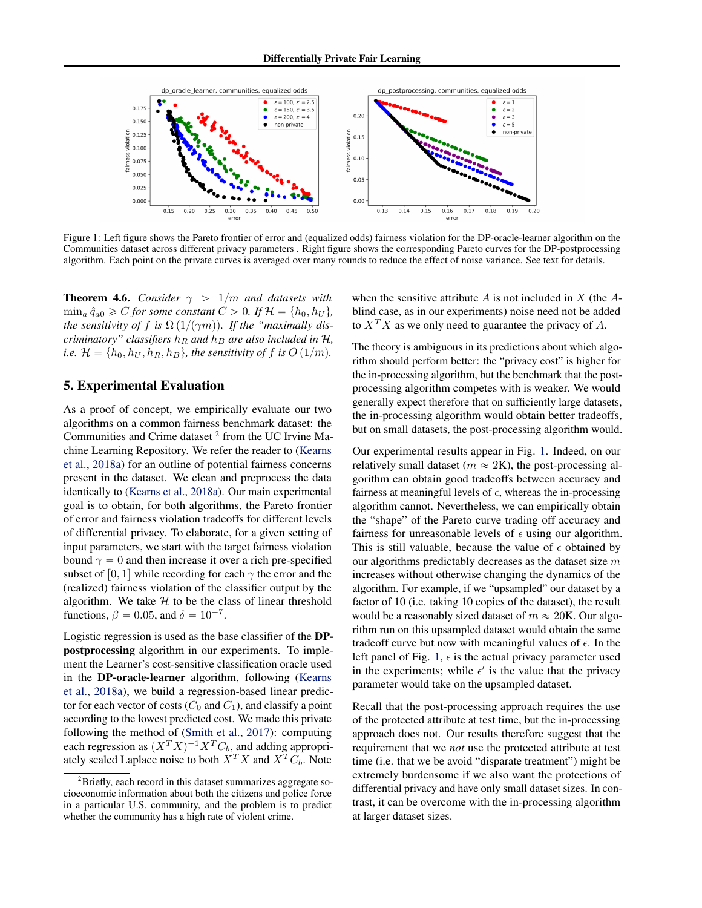

Figure 1: Left figure shows the Pareto frontier of error and (equalized odds) fairness violation for the DP-oracle-learner algorithm on the Communities dataset across different privacy parameters . Right figure shows the corresponding Pareto curves for the DP-postprocessing algorithm. Each point on the private curves is averaged over many rounds to reduce the effect of noise variance. See text for details.

**Theorem 4.6.** *Consider*  $\gamma > 1/m$  *and datasets with*  $\min_a \hat{q}_{a0} \geq C$  *for some constant*  $C > 0$ *. If*  $\mathcal{H} = \{h_0, h_U\}$ *, the sensitivity of f is*  $\Omega(1/(\gamma m))$ *. If the "maximally discriminatory" classifiers*  $h_R$  *and*  $h_B$  *are also included in*  $H$ *, i.e.*  $\mathcal{H} = \{h_0, h_U, h_R, h_B\}$ , the sensitivity of f is  $O(1/m)$ .

## 5. Experimental Evaluation

As a proof of concept, we empirically evaluate our two algorithms on a common fairness benchmark dataset: the Communities and Crime dataset  $2$  from the UC Irvine Machine Learning Repository. We refer the reader to (Kearns et al., 2018a) for an outline of potential fairness concerns present in the dataset. We clean and preprocess the data identically to (Kearns et al., 2018a). Our main experimental goal is to obtain, for both algorithms, the Pareto frontier of error and fairness violation tradeoffs for different levels of differential privacy. To elaborate, for a given setting of input parameters, we start with the target fairness violation bound  $\gamma = 0$  and then increase it over a rich pre-specified subset of [0, 1] while recording for each  $\gamma$  the error and the (realized) fairness violation of the classifier output by the algorithm. We take  $H$  to be the class of linear threshold functions,  $\beta = 0.05$ , and  $\delta = 10^{-7}$ .

Logistic regression is used as the base classifier of the DPpostprocessing algorithm in our experiments. To implement the Learner's cost-sensitive classification oracle used in the DP-oracle-learner algorithm, following (Kearns et al., 2018a), we build a regression-based linear predictor for each vector of costs  $(C_0$  and  $C_1$ ), and classify a point according to the lowest predicted cost. We made this private following the method of (Smith et al., 2017): computing each regression as  $(X^TX)^{-1}X^TC_b$ , and adding appropriately scaled Laplace noise to both  $X^T X$  and  $X^T C_b$ . Note

when the sensitive attribute  $A$  is not included in  $X$  (the  $A$ blind case, as in our experiments) noise need not be added to  $X<sup>T</sup>X$  as we only need to guarantee the privacy of A.

The theory is ambiguous in its predictions about which algorithm should perform better: the "privacy cost" is higher for the in-processing algorithm, but the benchmark that the postprocessing algorithm competes with is weaker. We would generally expect therefore that on sufficiently large datasets, the in-processing algorithm would obtain better tradeoffs, but on small datasets, the post-processing algorithm would.

Our experimental results appear in Fig. 1. Indeed, on our relatively small dataset ( $m \approx 2$ K), the post-processing algorithm can obtain good tradeoffs between accuracy and fairness at meaningful levels of  $\epsilon$ , whereas the in-processing algorithm cannot. Nevertheless, we can empirically obtain the "shape" of the Pareto curve trading off accuracy and fairness for unreasonable levels of  $\epsilon$  using our algorithm. This is still valuable, because the value of  $\epsilon$  obtained by our algorithms predictably decreases as the dataset size m increases without otherwise changing the dynamics of the algorithm. For example, if we "upsampled" our dataset by a factor of 10 (i.e. taking 10 copies of the dataset), the result would be a reasonably sized dataset of  $m \approx 20$ K. Our algorithm run on this upsampled dataset would obtain the same tradeoff curve but now with meaningful values of  $\epsilon$ . In the left panel of Fig. 1,  $\epsilon$  is the actual privacy parameter used in the experiments; while  $\epsilon'$  is the value that the privacy parameter would take on the upsampled dataset.

Recall that the post-processing approach requires the use of the protected attribute at test time, but the in-processing approach does not. Our results therefore suggest that the requirement that we *not* use the protected attribute at test time (i.e. that we be avoid "disparate treatment") might be extremely burdensome if we also want the protections of differential privacy and have only small dataset sizes. In contrast, it can be overcome with the in-processing algorithm at larger dataset sizes.

 $2^2$ Briefly, each record in this dataset summarizes aggregate socioeconomic information about both the citizens and police force in a particular U.S. community, and the problem is to predict whether the community has a high rate of violent crime.